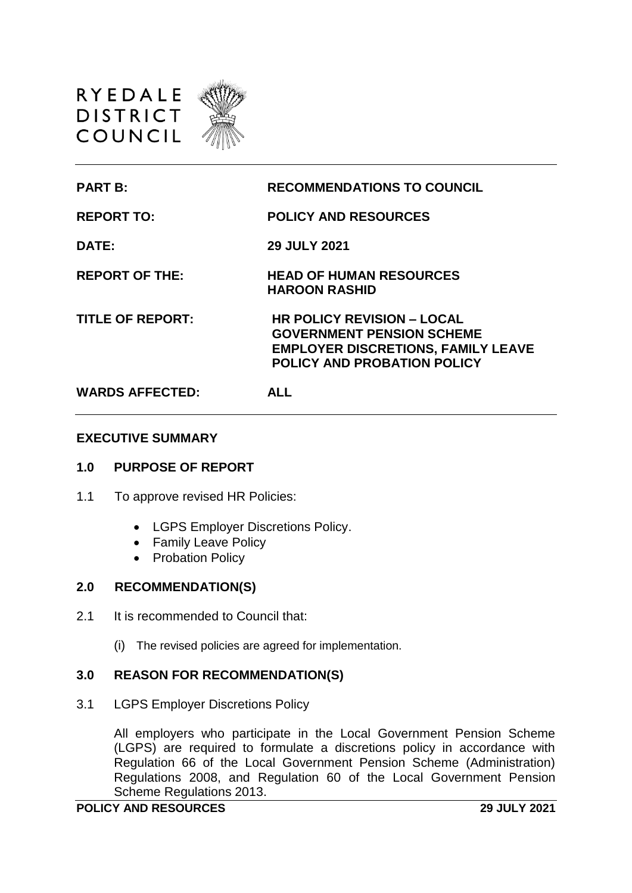

| <b>PART B:</b>          | <b>RECOMMENDATIONS TO COUNCIL</b>                                                                                                                        |
|-------------------------|----------------------------------------------------------------------------------------------------------------------------------------------------------|
| <b>REPORT TO:</b>       | <b>POLICY AND RESOURCES</b>                                                                                                                              |
| DATE:                   | <b>29 JULY 2021</b>                                                                                                                                      |
| <b>REPORT OF THE:</b>   | <b>HEAD OF HUMAN RESOURCES</b><br><b>HAROON RASHID</b>                                                                                                   |
| <b>TITLE OF REPORT:</b> | <b>HR POLICY REVISION - LOCAL</b><br><b>GOVERNMENT PENSION SCHEME</b><br><b>EMPLOYER DISCRETIONS, FAMILY LEAVE</b><br><b>POLICY AND PROBATION POLICY</b> |
| <b>WARDS AFFECTED:</b>  | <b>ALL</b>                                                                                                                                               |

#### **EXECUTIVE SUMMARY**

## **1.0 PURPOSE OF REPORT**

- 1.1 To approve revised HR Policies:
	- LGPS Employer Discretions Policy.
	- Family Leave Policy
	- Probation Policy

#### **2.0 RECOMMENDATION(S)**

- 2.1 It is recommended to Council that:
	- (i) The revised policies are agreed for implementation.

## **3.0 REASON FOR RECOMMENDATION(S)**

3.1 LGPS Employer Discretions Policy

All employers who participate in the Local Government Pension Scheme (LGPS) are required to formulate a discretions policy in accordance with Regulation 66 of the Local Government Pension Scheme (Administration) Regulations 2008, and Regulation 60 of the Local Government Pension Scheme Regulations 2013.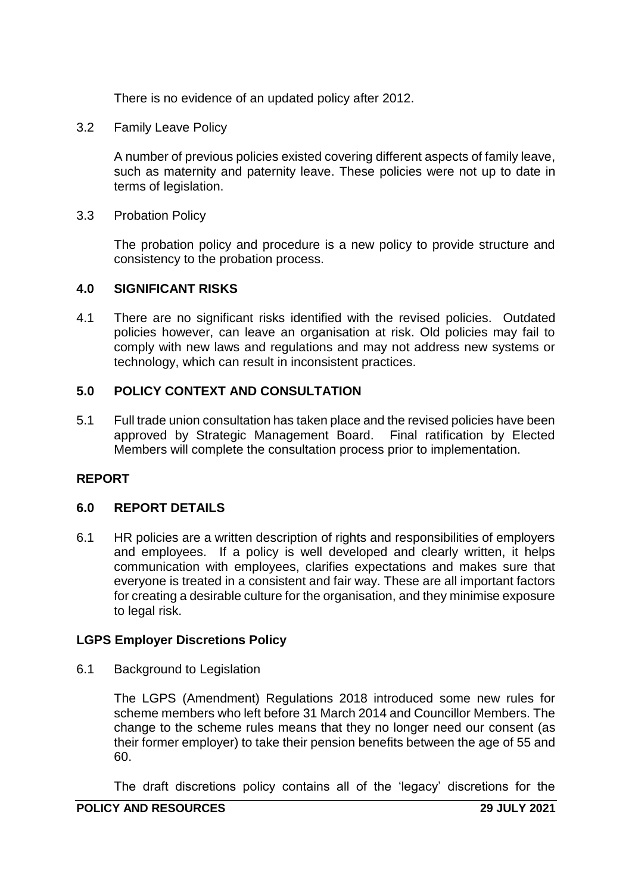There is no evidence of an updated policy after 2012.

3.2 Family Leave Policy

A number of previous policies existed covering different aspects of family leave, such as maternity and paternity leave. These policies were not up to date in terms of legislation.

3.3 Probation Policy

The probation policy and procedure is a new policy to provide structure and consistency to the probation process.

# **4.0 SIGNIFICANT RISKS**

4.1 There are no significant risks identified with the revised policies. Outdated policies however, can leave an organisation at risk. Old policies may fail to comply with new laws and regulations and may not address new systems or technology, which can result in inconsistent practices.

## **5.0 POLICY CONTEXT AND CONSULTATION**

5.1 Full trade union consultation has taken place and the revised policies have been approved by Strategic Management Board. Final ratification by Elected Members will complete the consultation process prior to implementation.

# **REPORT**

# **6.0 REPORT DETAILS**

6.1 HR policies are a written description of rights and responsibilities of employers and employees. If a policy is well developed and clearly written, it helps communication with employees, clarifies expectations and makes sure that everyone is treated in a consistent and fair way. These are all important factors for creating a desirable culture for the organisation, and they minimise exposure to legal risk.

## **LGPS Employer Discretions Policy**

6.1 Background to Legislation

The LGPS (Amendment) Regulations 2018 introduced some new rules for scheme members who left before 31 March 2014 and Councillor Members. The change to the scheme rules means that they no longer need our consent (as their former employer) to take their pension benefits between the age of 55 and 60.

The draft discretions policy contains all of the 'legacy' discretions for the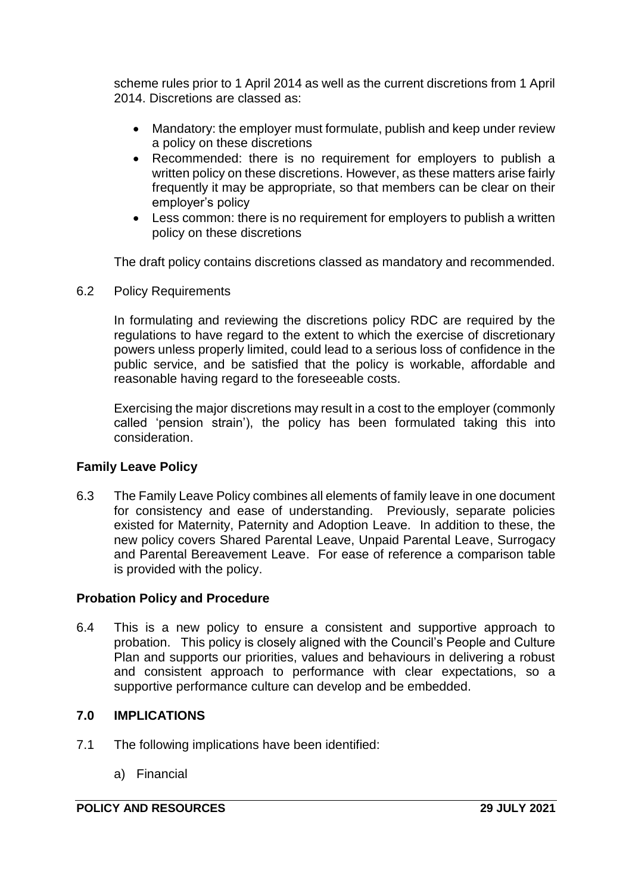scheme rules prior to 1 April 2014 as well as the current discretions from 1 April 2014. Discretions are classed as:

- Mandatory: the employer must formulate, publish and keep under review a policy on these discretions
- Recommended: there is no requirement for employers to publish a written policy on these discretions. However, as these matters arise fairly frequently it may be appropriate, so that members can be clear on their employer's policy
- Less common: there is no requirement for employers to publish a written policy on these discretions

The draft policy contains discretions classed as mandatory and recommended.

6.2 Policy Requirements

In formulating and reviewing the discretions policy RDC are required by the regulations to have regard to the extent to which the exercise of discretionary powers unless properly limited, could lead to a serious loss of confidence in the public service, and be satisfied that the policy is workable, affordable and reasonable having regard to the foreseeable costs.

Exercising the major discretions may result in a cost to the employer (commonly called 'pension strain'), the policy has been formulated taking this into consideration.

# **Family Leave Policy**

6.3 The Family Leave Policy combines all elements of family leave in one document for consistency and ease of understanding. Previously, separate policies existed for Maternity, Paternity and Adoption Leave. In addition to these, the new policy covers Shared Parental Leave, Unpaid Parental Leave, Surrogacy and Parental Bereavement Leave. For ease of reference a comparison table is provided with the policy.

## **Probation Policy and Procedure**

6.4 This is a new policy to ensure a consistent and supportive approach to probation. This policy is closely aligned with the Council's People and Culture Plan and supports our priorities, values and behaviours in delivering a robust and consistent approach to performance with clear expectations, so a supportive performance culture can develop and be embedded.

## **7.0 IMPLICATIONS**

- 7.1 The following implications have been identified:
	- a) Financial